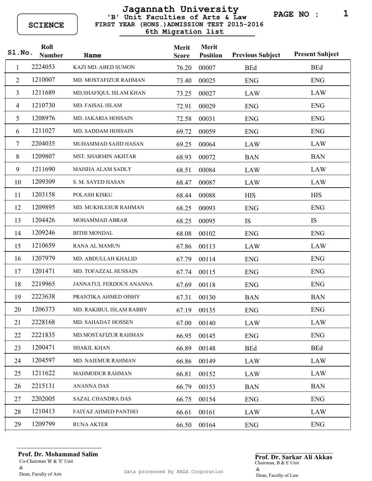## **FIRST YEAR (HONS.)ADMISSION TEST 2015-2016 'B' Unit Faculties of Arts & Law Jagannath University 6th Migration list**

**PAGE NO : 1**

| Sl.No.         | Roll<br><b>Number</b> | <b>Name</b>                | Merit<br><b>Score</b> | <b>Merit</b><br><b>Position</b> | <b>Previous Subject</b> | <b>Present Subject</b> |
|----------------|-----------------------|----------------------------|-----------------------|---------------------------------|-------------------------|------------------------|
| 1              | 2224053               | KAZI MD. ABED SUMON        | 76.20                 | 00007                           | <b>BEd</b>              | <b>BEd</b>             |
| $\overline{2}$ | 1210007               | MD. MOSTAFIZUR RAHMAN      | 73.40                 | 00025                           | <b>ENG</b>              | <b>ENG</b>             |
| $\overline{3}$ | 1211689               | MD.SHAFIQUL ISLAM KHAN     | 73.25                 | 00027                           | <b>LAW</b>              | <b>LAW</b>             |
| $\overline{4}$ | 1210730               | MD. FAISAL ISLAM           | 72.91                 | 00029                           | <b>ENG</b>              | <b>ENG</b>             |
| 5              | 1208976               | <b>MD. JAKARIA HOSSAIN</b> | 72.58                 | 00031                           | <b>ENG</b>              | <b>ENG</b>             |
| 6              | 1211027               | MD. SADDAM HOSSAIN         | 69.72                 | 00059                           | <b>ENG</b>              | <b>ENG</b>             |
| $\overline{7}$ | 2204035               | MUHAMMAD SAJID HASAN       | 69.25                 | 00064                           | <b>LAW</b>              | <b>LAW</b>             |
| 8              | 1209807               | MST. SHARMIN AKHTAR        | 68.93                 | 00072                           | <b>BAN</b>              | <b>BAN</b>             |
| 9              | 1211690               | <b>MAISHA ALAM SADLY</b>   | 68.51                 | 00084                           | LAW                     | <b>LAW</b>             |
| 10             | 1209309               | S. M. SAYED HASAN          | 68.47                 | 00087                           | LAW                     | <b>LAW</b>             |
| 11             | 1203158               | POLASH KISKU               | 68.44                 | 00088                           | <b>HIS</b>              | <b>HIS</b>             |
| 12             | 1209895               | MD. MUKHLESUR RAHMAN       | 68.25                 | 00093                           | <b>ENG</b>              | <b>ENG</b>             |
| 13             | 1204426               | <b>MOHAMMAD ABRAR</b>      | 68.25                 | 00095                           | IS                      | IS                     |
| 14             | 1209246               | <b>BITHI MONDAL</b>        | 68.08                 | 00102                           | <b>ENG</b>              | <b>ENG</b>             |
| 15             | 1210659               | <b>RANA AL MAMUN</b>       | 67.86                 | 00113                           | LAW                     | <b>LAW</b>             |
| 16             | 1207979               | MD. ABDULLAH KHALID        | 67.79                 | 00114                           | <b>ENG</b>              | <b>ENG</b>             |
| 17             | 1201471               | MD. TOFAZZAL HUSSAIN       | 67.74                 | 00115                           | <b>ENG</b>              | <b>ENG</b>             |
| 18             | 2219965               | JANNATUL FERDOUS ANANNA    | 67.69                 | 00118                           | <b>ENG</b>              | <b>ENG</b>             |
| 19             | 2223638               | PRANTIKA AHMED OISHY       | 67.31                 | 00130                           | <b>BAN</b>              | <b>BAN</b>             |
| 20             | 1206373               | MD. RAKIBUL ISLAM RABBY    | 67.19                 | 00135                           | <b>ENG</b>              | <b>ENG</b>             |
| 21             | 2228168               | MD. SAHADAT HOSSEN         | 67.00                 | 00140                           | LAW                     | <b>LAW</b>             |
| 22             | 2221835               | MD.MOSTAFIZUR RAHMAN       | 66.95                 | 00145                           | <b>ENG</b>              | <b>ENG</b>             |
| 23             | 1200471               | <b>SHAKIL KHAN</b>         | 66.89                 | 00148                           | <b>BEd</b>              | <b>BEd</b>             |
| 24             | 1204597               | MD. NAIEMUR RAHMAN         | 66.86                 | 00149                           | LAW                     | LAW                    |
| 25             | 1211622               | <b>MAHMODUR RAHMAN</b>     | 66.81                 | 00152                           | LAW                     | LAW                    |
| 26             | 2215131               | <b>ANANNA DAS</b>          | 66.79                 | 00153                           | <b>BAN</b>              | <b>BAN</b>             |
| 27             | 2202005               | SAZAL CHANDRA DAS          | 66.75                 | 00154                           | <b>ENG</b>              | <b>ENG</b>             |
| 28             | 1210413               | FAIYAZ AHMED PANTHO        | 66.61                 | 00161                           | LAW                     | LAW                    |
| 29             | 1209799               | <b>RUNA AKTER</b>          | 66.50                 | 00164                           | <b>ENG</b>              | <b>ENG</b>             |

Co-Chairman 'B' & 'E' Unit  $\&$ Dean, Faculty of Arts **Prof. Dr. Mohammad Salim Prof. Dr. Sarkar Ali Akkas** 

Chairman, B & E Unit & Dean, Faculty of Law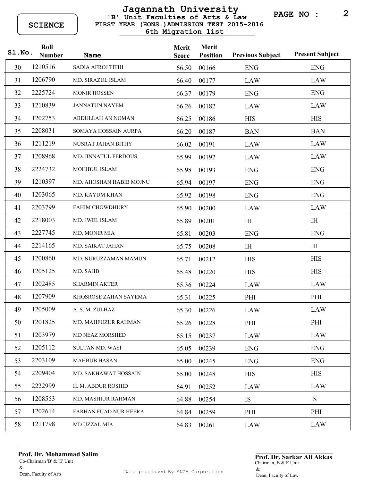## **FIRST YEAR (HONS.)ADMISSION TEST 2015-2016 'B' Unit Faculties of Arts & Law Jagannath University 6th Migration list**

**PAGE NO : 2**

| Sl.No. | Roll<br><b>Number</b> | Name                         | Merit<br><b>Score</b> | Merit<br><b>Position</b> | <b>Previous Subject</b> | <b>Present Subject</b> |
|--------|-----------------------|------------------------------|-----------------------|--------------------------|-------------------------|------------------------|
| 30     | 1210516               | SADIA AFROJ TITHI            | 66.50                 | 00166                    | <b>ENG</b>              | <b>ENG</b>             |
| 31     | 1206790               | MD. SIRAZUL ISLAM            | 66.40                 | 00177                    | <b>LAW</b>              | <b>LAW</b>             |
| 32     | 2225724               | <b>MONIR HOSSEN</b>          | 66.37                 | 00179                    | <b>ENG</b>              | <b>ENG</b>             |
| 33     | 1210839               | <b>JANNATUN NAYEM</b>        | 66.26                 | 00182                    | LAW                     | <b>LAW</b>             |
| 34     | 1202753               | ABDULLAH AN NOMAN            | 66.25                 | 00186                    | <b>HIS</b>              | <b>HIS</b>             |
| 35     | 2208031               | SOMAYA HOSSAIN AURPA         | 66.20                 | 00187                    | <b>BAN</b>              | <b>BAN</b>             |
| 36     | 1211219               | NUSRAT JAHAN BITHY           | 66.02                 | 00191                    | LAW                     | <b>LAW</b>             |
| 37     | 1208968               | MD. JINNATUL FERDOUS         | 65.99                 | 00192                    | LAW                     | LAW                    |
| 38     | 2224732               | MOHIBUL ISLAM                | 65.98                 | 00193                    | <b>ENG</b>              | <b>ENG</b>             |
| 39     | 1210397               | MD. AHOSHAN HABIB MOJNU      | 65.94                 | 00197                    | <b>ENG</b>              | <b>ENG</b>             |
| 40     | 1203065               | MD. KAYUM KHAN               | 65.92                 | 00198                    | <b>ENG</b>              | <b>ENG</b>             |
| 41     | 2203799               | <b>FAHIM CHOWDHURY</b>       | 65.90                 | 00200                    | <b>LAW</b>              | LAW                    |
| 42     | 2218003               | MD. JWEL ISLAM               | 65.89                 | 00201                    | I <sub>H</sub>          | I <sub>H</sub>         |
| 43     | 2227745               | MD. MONIR MIA                | 65.81                 | 00203                    | <b>ENG</b>              | <b>ENG</b>             |
| 44     | 2214165               | MD. SAIKAT JAHAN             | 65.75                 | 00208                    | $\rm I \rm H$           | IH                     |
| 45     | 1200860               | MD. NURUZZAMAN MAMUN         | 65.71                 | 00212                    | <b>HIS</b>              | <b>HIS</b>             |
| 46     | 1205125               | MD. SAJIB                    | 65.48                 | 00220                    | <b>HIS</b>              | <b>HIS</b>             |
| 47     | 1202485               | <b>SHARMIN AKTER</b>         | 65.36                 | 00224                    | <b>LAW</b>              | <b>LAW</b>             |
| 48     | 1207909               | KHOSROSE ZAHAN SAYEMA        | 65.31                 | 00225                    | PHI                     | PHI                    |
| 49     | 1205009               | A. S. M. ZULHAZ              | 65.30                 | 00226                    | LAW                     | <b>LAW</b>             |
| 50     | 1201825               | MD. MAHFUZUR RAHMAN          | 65.26                 | 00228                    | PHI                     | PHI                    |
| 51     | 1203979               | MD NEAZ MORSHED              | 65.15                 | 00237                    | <b>LAW</b>              | <b>LAW</b>             |
| 52     | 1205112               | <b>SULTAN MD. WASI</b>       | 65.05                 | 00239                    | <b>ENG</b>              | <b>ENG</b>             |
| 53     | 2203109               | <b>MAHBUB HASAN</b>          | 65.00                 | 00245                    | <b>ENG</b>              | <b>ENG</b>             |
| 54     | 2209404               | MD. SAKHAWAT HOSSAIN         | 65.00                 | 00248                    | <b>HIS</b>              | <b>HIS</b>             |
| 55     | 2222999               | H. M. ABDUR ROSHID           | 64.91                 | 00252                    | LAW                     | LAW                    |
| 56     | 1208553               | <b>MD. MASHIUR RAHMAN</b>    | 64.88                 | 00254                    | <b>IS</b>               | IS                     |
| 57     | 1202614               | <b>FARHAN FUAD NUR HEERA</b> | 64.84                 | 00259                    | PHI                     | PHI                    |
| 58     | 1211798               | MD UZZAL MIA                 | 64.83                 | 00261                    | LAW                     | LAW                    |

Co-Chairman 'B' & 'E' Unit  $\&$ Dean, Faculty of Arts **Prof. Dr. Mohammad Salim Prof. Dr. Sarkar Ali Akkas** 

Chairman, B & E Unit & Dean, Faculty of Law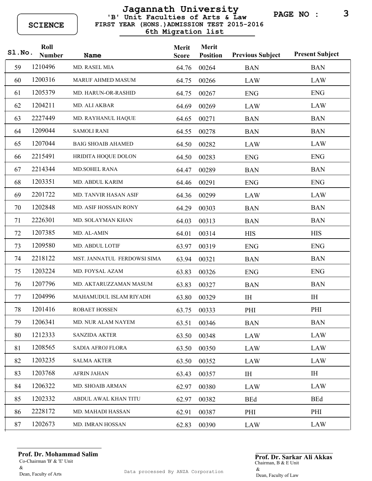## **FIRST YEAR (HONS.)ADMISSION TEST 2015-2016 'B' Unit Faculties of Arts & Law Jagannath University 6th Migration list**

**PAGE NO : 3**

| S1.No. | Roll<br><b>Number</b> | <b>Name</b>                  | Merit<br><b>Score</b> | <b>Merit</b><br><b>Position</b> | <b>Previous Subject</b> | <b>Present Subject</b> |
|--------|-----------------------|------------------------------|-----------------------|---------------------------------|-------------------------|------------------------|
| 59     | 1210496               | MD. RASEL MIA                | 64.76                 | 00264                           | <b>BAN</b>              | <b>BAN</b>             |
| 60     | 1200316               | <b>MARUF AHMED MASUM</b>     | 64.75                 | 00266                           | <b>LAW</b>              | <b>LAW</b>             |
| 61     | 1205379               | MD. HARUN-OR-RASHID          | 64.75                 | 00267                           | <b>ENG</b>              | <b>ENG</b>             |
| 62     | 1204211               | MD. ALI AKBAR                | 64.69                 | 00269                           | LAW                     | <b>LAW</b>             |
| 63     | 2227449               | MD. RAYHANUL HAQUE           | 64.65                 | 00271                           | <b>BAN</b>              | <b>BAN</b>             |
| 64     | 1209044               | <b>SAMOLI RANI</b>           | 64.55                 | 00278                           | <b>BAN</b>              | <b>BAN</b>             |
| 65     | 1207044               | <b>BAIG SHOAIB AHAMED</b>    | 64.50                 | 00282                           | LAW                     | <b>LAW</b>             |
| 66     | 2215491               | HRIDITA HOQUE DOLON          | 64.50                 | 00283                           | <b>ENG</b>              | <b>ENG</b>             |
| 67     | 2214344               | <b>MD.SOHEL RANA</b>         | 64.47                 | 00289                           | <b>BAN</b>              | <b>BAN</b>             |
| 68     | 1203351               | MD. ABDUL KARIM              | 64.46                 | 00291                           | <b>ENG</b>              | <b>ENG</b>             |
| 69     | 2201722               | <b>MD. TANVIR HASAN ASIF</b> | 64.36                 | 00299                           | <b>LAW</b>              | <b>LAW</b>             |
| 70     | 1202848               | MD. ASIF HOSSAIN RONY        | 64.29                 | 00303                           | <b>BAN</b>              | <b>BAN</b>             |
| 71     | 2226301               | MD. SOLAYMAN KHAN            | 64.03                 | 00313                           | <b>BAN</b>              | <b>BAN</b>             |
| 72     | 1207385               | MD. AL-AMIN                  | 64.01                 | 00314                           | <b>HIS</b>              | <b>HIS</b>             |
| 73     | 1209580               | MD. ABDUL LOTIF              | 63.97                 | 00319                           | <b>ENG</b>              | <b>ENG</b>             |
| 74     | 2218122               | MST. JANNATUL FERDOWSI SIMA  | 63.94                 | 00321                           | <b>BAN</b>              | <b>BAN</b>             |
| 75     | 1203224               | MD. FOYSAL AZAM              | 63.83                 | 00326                           | <b>ENG</b>              | <b>ENG</b>             |
| 76     | 1207796               | MD. AKTARUZZAMAN MASUM       | 63.83                 | 00327                           | <b>BAN</b>              | <b>BAN</b>             |
| 77     | 1204996               | MAHAMUDUL ISLAM RIYADH       | 63.80                 | 00329                           | IH                      | IH                     |
| 78     | 1201416               | ROBAET HOSSEN                | 63.75                 | 00333                           | PHI                     | PHI                    |
| 79     | 1206341               | MD. NUR ALAM NAYEM           | 63.51                 | 00346                           | <b>BAN</b>              | <b>BAN</b>             |
| 80     | 1212333               | <b>SANZIDA AKTER</b>         | 63.50                 | 00348                           | <b>LAW</b>              | <b>LAW</b>             |
| 81     | 1208565               | SADIA AFROJ FLORA            | 63.50                 | 00350                           | <b>LAW</b>              | <b>LAW</b>             |
| 82     | 1203235               | <b>SALMA AKTER</b>           | 63.50                 | 00352                           | <b>LAW</b>              | <b>LAW</b>             |
| 83     | 1203768               | <b>AFRIN JAHAN</b>           | 63.43                 | 00357                           | IH                      | I <sub>H</sub>         |
| 84     | 1206322               | MD. SHOAIB ARMAN             | 62.97                 | 00380                           | <b>LAW</b>              | <b>LAW</b>             |
| 85     | 1202332               | ABDUL AWAL KHAN TITU         | 62.97                 | 00382                           | <b>BEd</b>              | <b>BEd</b>             |
| 86     | 2228172               | MD. MAHADI HASSAN            | 62.91                 | 00387                           | PHI                     | PHI                    |
| 87     | 1202673               | MD. IMRAN HOSSAN             | 62.83                 | 00390                           | <b>LAW</b>              | <b>LAW</b>             |

Co-Chairman 'B' & 'E' Unit  $\&$ Dean, Faculty of Arts **Prof. Dr. Mohammad Salim Prof. Dr. Sarkar Ali Akkas** 

Chairman, B & E Unit & Dean, Faculty of Law